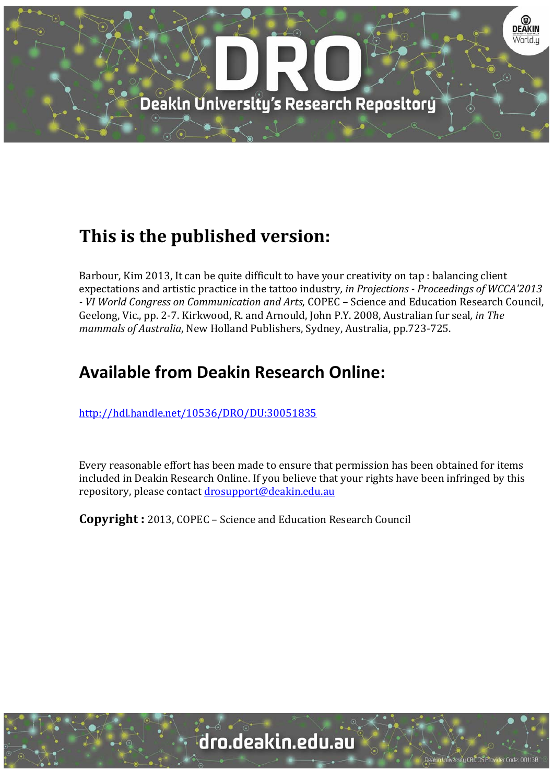

# **This is the published version:**

Barbour, Kim 2013, It can be quite difficult to have your creativity on tap : balancing client expectations and artistic practice in the tattoo industry*, in Projections ‐ Proceedings of WCCA'2013 ‐ VI World Congress on Communication and Arts*, COPEC – Science and Education Research Council, Geelong, Vic., pp. 2-7. Kirkwood, R. and Arnould, John P.Y. 2008, Australian fur seal, *in The mammals of Australia*, New Holland Publishers, Sydney, Australia, pp.723-725.

## **Available from Deakin Research Online:**

http://hdl.handle.net/10536/DRO/DU:30051835

Every reasonable effort has been made to ensure that permission has been obtained for items included in Deakin Research Online. If you believe that your rights have been infringed by this repository, please contact drosupport@deakin.edu.au

**Copyright** : 2013, COPEC - Science and Education Research Council

sity CRICOS Provider Code: 00113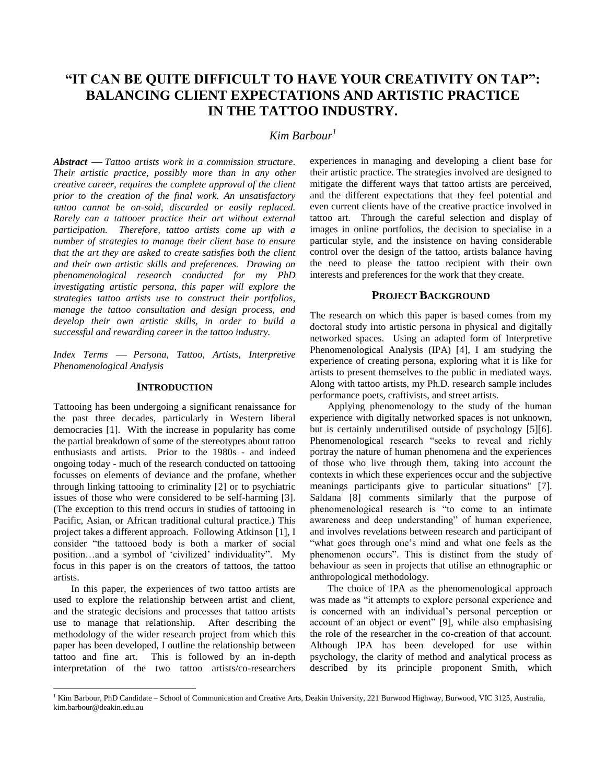### **"IT CAN BE QUITE DIFFICULT TO HAVE YOUR CREATIVITY ON TAP": BALANCING CLIENT EXPECTATIONS AND ARTISTIC PRACTICE IN THE TATTOO INDUSTRY.**

### *Kim Barbour<sup>1</sup>*

*Abstract Tattoo artists work in a commission structure. Their artistic practice, possibly more than in any other creative career, requires the complete approval of the client prior to the creation of the final work. An unsatisfactory tattoo cannot be on-sold, discarded or easily replaced. Rarely can a tattooer practice their art without external participation. Therefore, tattoo artists come up with a number of strategies to manage their client base to ensure that the art they are asked to create satisfies both the client and their own artistic skills and preferences. Drawing on phenomenological research conducted for my PhD investigating artistic persona, this paper will explore the strategies tattoo artists use to construct their portfolios, manage the tattoo consultation and design process, and develop their own artistic skills, in order to build a successful and rewarding career in the tattoo industry.*

*Index Terms Persona, Tattoo, Artists, Interpretive Phenomenological Analysis*

#### **INTRODUCTION**

Tattooing has been undergoing a significant renaissance for the past three decades, particularly in Western liberal democracies [1]. With the increase in popularity has come the partial breakdown of some of the stereotypes about tattoo enthusiasts and artists. Prior to the 1980s - and indeed ongoing today - much of the research conducted on tattooing focusses on elements of deviance and the profane, whether through linking tattooing to criminality [2] or to psychiatric issues of those who were considered to be self-harming [3]. (The exception to this trend occurs in studies of tattooing in Pacific, Asian, or African traditional cultural practice.) This project takes a different approach. Following Atkinson [1], I consider "the tattooed body is both a marker of social position…and a symbol of 'civilized' individuality". My focus in this paper is on the creators of tattoos, the tattoo artists.

In this paper, the experiences of two tattoo artists are used to explore the relationship between artist and client, and the strategic decisions and processes that tattoo artists use to manage that relationship. After describing the methodology of the wider research project from which this paper has been developed, I outline the relationship between tattoo and fine art. This is followed by an in-depth interpretation of the two tattoo artists/co-researchers

l

experiences in managing and developing a client base for their artistic practice. The strategies involved are designed to mitigate the different ways that tattoo artists are perceived, and the different expectations that they feel potential and even current clients have of the creative practice involved in tattoo art. Through the careful selection and display of images in online portfolios, the decision to specialise in a particular style, and the insistence on having considerable control over the design of the tattoo, artists balance having the need to please the tattoo recipient with their own interests and preferences for the work that they create.

#### **PROJECT BACKGROUND**

The research on which this paper is based comes from my doctoral study into artistic persona in physical and digitally networked spaces. Using an adapted form of Interpretive Phenomenological Analysis (IPA) [4], I am studying the experience of creating persona, exploring what it is like for artists to present themselves to the public in mediated ways. Along with tattoo artists, my Ph.D. research sample includes performance poets, craftivists, and street artists.

Applying phenomenology to the study of the human experience with digitally networked spaces is not unknown, but is certainly underutilised outside of psychology [5][6]. Phenomenological research "seeks to reveal and richly portray the nature of human phenomena and the experiences of those who live through them, taking into account the contexts in which these experiences occur and the subjective meanings participants give to particular situations" [7]. Saldana [8] comments similarly that the purpose of phenomenological research is "to come to an intimate awareness and deep understanding" of human experience, and involves revelations between research and participant of "what goes through one's mind and what one feels as the phenomenon occurs". This is distinct from the study of behaviour as seen in projects that utilise an ethnographic or anthropological methodology.

The choice of IPA as the phenomenological approach was made as "it attempts to explore personal experience and is concerned with an individual's personal perception or account of an object or event" [9], while also emphasising the role of the researcher in the co-creation of that account. Although IPA has been developed for use within psychology, the clarity of method and analytical process as described by its principle proponent Smith, which

<sup>&</sup>lt;sup>1</sup> Kim Barbour, PhD Candidate – School of Communication and Creative Arts, Deakin University, 221 Burwood Highway, Burwood, VIC 3125, Australia, kim.barbour@deakin.edu.au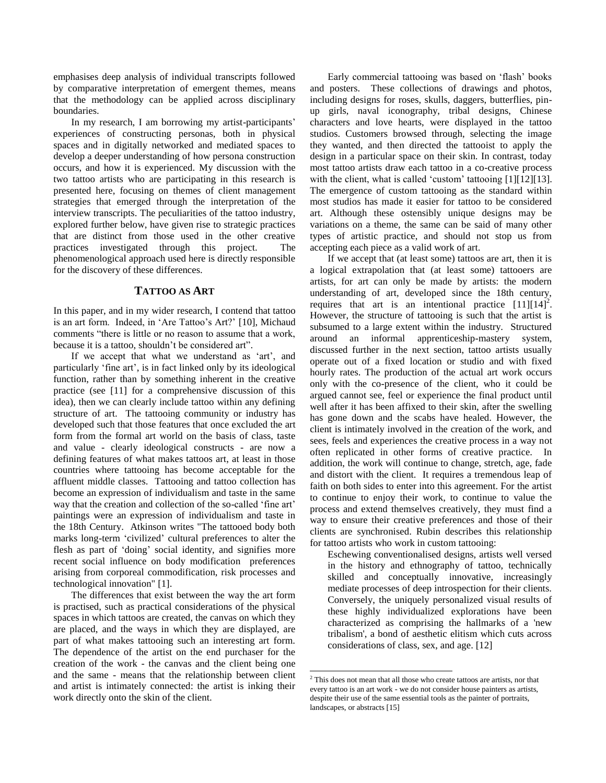emphasises deep analysis of individual transcripts followed by comparative interpretation of emergent themes, means that the methodology can be applied across disciplinary boundaries.

In my research, I am borrowing my artist-participants' experiences of constructing personas, both in physical spaces and in digitally networked and mediated spaces to develop a deeper understanding of how persona construction occurs, and how it is experienced. My discussion with the two tattoo artists who are participating in this research is presented here, focusing on themes of client management strategies that emerged through the interpretation of the interview transcripts. The peculiarities of the tattoo industry, explored further below, have given rise to strategic practices that are distinct from those used in the other creative practices investigated through this project. The phenomenological approach used here is directly responsible for the discovery of these differences.

#### **TATTOO AS ART**

In this paper, and in my wider research, I contend that tattoo is an art form. Indeed, in 'Are Tattoo's Art?' [10], Michaud comments "there is little or no reason to assume that a work, because it is a tattoo, shouldn't be considered art".

If we accept that what we understand as 'art', and particularly 'fine art', is in fact linked only by its ideological function, rather than by something inherent in the creative practice (see [11] for a comprehensive discussion of this idea), then we can clearly include tattoo within any defining structure of art. The tattooing community or industry has developed such that those features that once excluded the art form from the formal art world on the basis of class, taste and value - clearly ideological constructs - are now a defining features of what makes tattoos art, at least in those countries where tattooing has become acceptable for the affluent middle classes. Tattooing and tattoo collection has become an expression of individualism and taste in the same way that the creation and collection of the so-called 'fine art' paintings were an expression of individualism and taste in the 18th Century. Atkinson writes "The tattooed body both marks long-term 'civilized' cultural preferences to alter the flesh as part of 'doing' social identity, and signifies more recent social influence on body modification preferences arising from corporeal commodification, risk processes and technological innovation" [1].

The differences that exist between the way the art form is practised, such as practical considerations of the physical spaces in which tattoos are created, the canvas on which they are placed, and the ways in which they are displayed, are part of what makes tattooing such an interesting art form. The dependence of the artist on the end purchaser for the creation of the work - the canvas and the client being one and the same - means that the relationship between client and artist is intimately connected: the artist is inking their work directly onto the skin of the client.

Early commercial tattooing was based on 'flash' books and posters. These collections of drawings and photos, including designs for roses, skulls, daggers, butterflies, pinup girls, naval iconography, tribal designs, Chinese characters and love hearts, were displayed in the tattoo studios. Customers browsed through, selecting the image they wanted, and then directed the tattooist to apply the design in a particular space on their skin. In contrast, today most tattoo artists draw each tattoo in a co-creative process with the client, what is called 'custom' tattooing [1][12][13]. The emergence of custom tattooing as the standard within most studios has made it easier for tattoo to be considered art. Although these ostensibly unique designs may be variations on a theme, the same can be said of many other types of artistic practice, and should not stop us from accepting each piece as a valid work of art.

If we accept that (at least some) tattoos are art, then it is a logical extrapolation that (at least some) tattooers are artists, for art can only be made by artists: the modern understanding of art, developed since the 18th century, requires that art is an intentional practice  $[11][14]^2$ . However, the structure of tattooing is such that the artist is subsumed to a large extent within the industry. Structured around an informal apprenticeship-mastery system, discussed further in the next section, tattoo artists usually operate out of a fixed location or studio and with fixed hourly rates. The production of the actual art work occurs only with the co-presence of the client, who it could be argued cannot see, feel or experience the final product until well after it has been affixed to their skin, after the swelling has gone down and the scabs have healed. However, the client is intimately involved in the creation of the work, and sees, feels and experiences the creative process in a way not often replicated in other forms of creative practice. In addition, the work will continue to change, stretch, age, fade and distort with the client. It requires a tremendous leap of faith on both sides to enter into this agreement. For the artist to continue to enjoy their work, to continue to value the process and extend themselves creatively, they must find a way to ensure their creative preferences and those of their clients are synchronised. Rubin describes this relationship for tattoo artists who work in custom tattooing:

Eschewing conventionalised designs, artists well versed in the history and ethnography of tattoo, technically skilled and conceptually innovative, increasingly mediate processes of deep introspection for their clients. Conversely, the uniquely personalized visual results of these highly individualized explorations have been characterized as comprising the hallmarks of a 'new tribalism', a bond of aesthetic elitism which cuts across considerations of class, sex, and age. [12]

l

 $2^2$  This does not mean that all those who create tattoos are artists, nor that every tattoo is an art work - we do not consider house painters as artists, despite their use of the same essential tools as the painter of portraits, landscapes, or abstracts [15]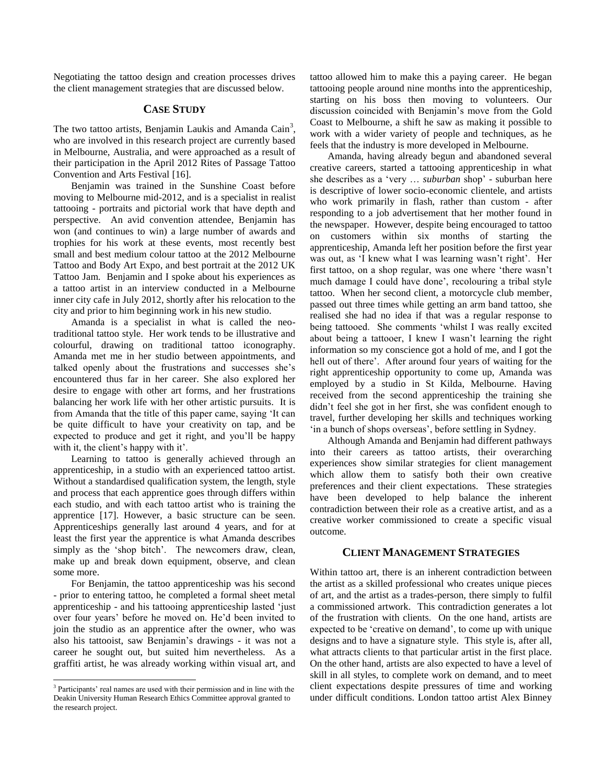Negotiating the tattoo design and creation processes drives the client management strategies that are discussed below.

#### **CASE STUDY**

The two tattoo artists, Benjamin Laukis and Amanda Cain<sup>3</sup>, who are involved in this research project are currently based in Melbourne, Australia, and were approached as a result of their participation in the April 2012 Rites of Passage Tattoo Convention and Arts Festival [16].

Benjamin was trained in the Sunshine Coast before moving to Melbourne mid-2012, and is a specialist in realist tattooing - portraits and pictorial work that have depth and perspective. An avid convention attendee, Benjamin has won (and continues to win) a large number of awards and trophies for his work at these events, most recently best small and best medium colour tattoo at the 2012 Melbourne Tattoo and Body Art Expo, and best portrait at the 2012 UK Tattoo Jam. Benjamin and I spoke about his experiences as a tattoo artist in an interview conducted in a Melbourne inner city cafe in July 2012, shortly after his relocation to the city and prior to him beginning work in his new studio.

Amanda is a specialist in what is called the neotraditional tattoo style. Her work tends to be illustrative and colourful, drawing on traditional tattoo iconography. Amanda met me in her studio between appointments, and talked openly about the frustrations and successes she's encountered thus far in her career. She also explored her desire to engage with other art forms, and her frustrations balancing her work life with her other artistic pursuits. It is from Amanda that the title of this paper came, saying 'It can be quite difficult to have your creativity on tap, and be expected to produce and get it right, and you'll be happy with it, the client's happy with it'.

Learning to tattoo is generally achieved through an apprenticeship, in a studio with an experienced tattoo artist. Without a standardised qualification system, the length, style and process that each apprentice goes through differs within each studio, and with each tattoo artist who is training the apprentice [17]. However, a basic structure can be seen. Apprenticeships generally last around 4 years, and for at least the first year the apprentice is what Amanda describes simply as the 'shop bitch'. The newcomers draw, clean, make up and break down equipment, observe, and clean some more.

For Benjamin, the tattoo apprenticeship was his second - prior to entering tattoo, he completed a formal sheet metal apprenticeship - and his tattooing apprenticeship lasted 'just over four years' before he moved on. He'd been invited to join the studio as an apprentice after the owner, who was also his tattooist, saw Benjamin's drawings - it was not a career he sought out, but suited him nevertheless. As a graffiti artist, he was already working within visual art, and

 $\overline{\phantom{a}}$ 

tattoo allowed him to make this a paying career. He began tattooing people around nine months into the apprenticeship, starting on his boss then moving to volunteers. Our discussion coincided with Benjamin's move from the Gold Coast to Melbourne, a shift he saw as making it possible to work with a wider variety of people and techniques, as he feels that the industry is more developed in Melbourne.

Amanda, having already begun and abandoned several creative careers, started a tattooing apprenticeship in what she describes as a 'very … *suburban* shop' - suburban here is descriptive of lower socio-economic clientele, and artists who work primarily in flash, rather than custom - after responding to a job advertisement that her mother found in the newspaper. However, despite being encouraged to tattoo on customers within six months of starting the apprenticeship, Amanda left her position before the first year was out, as 'I knew what I was learning wasn't right'. Her first tattoo, on a shop regular, was one where 'there wasn't much damage I could have done', recolouring a tribal style tattoo. When her second client, a motorcycle club member, passed out three times while getting an arm band tattoo, she realised she had no idea if that was a regular response to being tattooed. She comments 'whilst I was really excited about being a tattooer, I knew I wasn't learning the right information so my conscience got a hold of me, and I got the hell out of there'. After around four years of waiting for the right apprenticeship opportunity to come up, Amanda was employed by a studio in St Kilda, Melbourne. Having received from the second apprenticeship the training she didn't feel she got in her first, she was confident enough to travel, further developing her skills and techniques working 'in a bunch of shops overseas', before settling in Sydney.

Although Amanda and Benjamin had different pathways into their careers as tattoo artists, their overarching experiences show similar strategies for client management which allow them to satisfy both their own creative preferences and their client expectations. These strategies have been developed to help balance the inherent contradiction between their role as a creative artist, and as a creative worker commissioned to create a specific visual outcome.

#### **CLIENT MANAGEMENT STRATEGIES**

Within tattoo art, there is an inherent contradiction between the artist as a skilled professional who creates unique pieces of art, and the artist as a trades-person, there simply to fulfil a commissioned artwork. This contradiction generates a lot of the frustration with clients. On the one hand, artists are expected to be 'creative on demand', to come up with unique designs and to have a signature style. This style is, after all, what attracts clients to that particular artist in the first place. On the other hand, artists are also expected to have a level of skill in all styles, to complete work on demand, and to meet client expectations despite pressures of time and working under difficult conditions. London tattoo artist Alex Binney

<sup>&</sup>lt;sup>3</sup> Participants' real names are used with their permission and in line with the Deakin University Human Research Ethics Committee approval granted to the research project.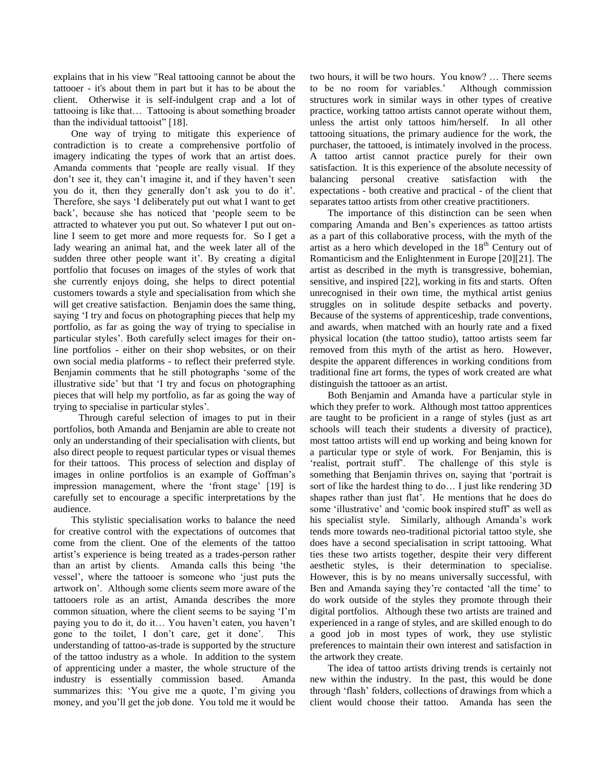explains that in his view "Real tattooing cannot be about the tattooer - it's about them in part but it has to be about the client. Otherwise it is self-indulgent crap and a lot of tattooing is like that… Tattooing is about something broader than the individual tattooist" [18].

One way of trying to mitigate this experience of contradiction is to create a comprehensive portfolio of imagery indicating the types of work that an artist does. Amanda comments that 'people are really visual. If they don't see it, they can't imagine it, and if they haven't seen you do it, then they generally don't ask you to do it'. Therefore, she says 'I deliberately put out what I want to get back', because she has noticed that 'people seem to be attracted to whatever you put out. So whatever I put out online I seem to get more and more requests for. So I get a lady wearing an animal hat, and the week later all of the sudden three other people want it'. By creating a digital portfolio that focuses on images of the styles of work that she currently enjoys doing, she helps to direct potential customers towards a style and specialisation from which she will get creative satisfaction. Benjamin does the same thing, saying 'I try and focus on photographing pieces that help my portfolio, as far as going the way of trying to specialise in particular styles'. Both carefully select images for their online portfolios - either on their shop websites, or on their own social media platforms - to reflect their preferred style. Benjamin comments that he still photographs 'some of the illustrative side' but that 'I try and focus on photographing pieces that will help my portfolio, as far as going the way of trying to specialise in particular styles'.

 Through careful selection of images to put in their portfolios, both Amanda and Benjamin are able to create not only an understanding of their specialisation with clients, but also direct people to request particular types or visual themes for their tattoos. This process of selection and display of images in online portfolios is an example of Goffman's impression management, where the 'front stage' [19] is carefully set to encourage a specific interpretations by the audience.

This stylistic specialisation works to balance the need for creative control with the expectations of outcomes that come from the client. One of the elements of the tattoo artist's experience is being treated as a trades-person rather than an artist by clients. Amanda calls this being 'the vessel', where the tattooer is someone who 'just puts the artwork on'. Although some clients seem more aware of the tattooers role as an artist, Amanda describes the more common situation, where the client seems to be saying 'I'm paying you to do it, do it… You haven't eaten, you haven't gone to the toilet, I don't care, get it done'. This understanding of tattoo-as-trade is supported by the structure of the tattoo industry as a whole. In addition to the system of apprenticing under a master, the whole structure of the industry is essentially commission based. Amanda summarizes this: 'You give me a quote, I'm giving you money, and you'll get the job done. You told me it would be

two hours, it will be two hours. You know? … There seems to be no room for variables.' Although commission structures work in similar ways in other types of creative practice, working tattoo artists cannot operate without them, unless the artist only tattoos him/herself. In all other tattooing situations, the primary audience for the work, the purchaser, the tattooed, is intimately involved in the process. A tattoo artist cannot practice purely for their own satisfaction. It is this experience of the absolute necessity of balancing personal creative satisfaction with the expectations - both creative and practical - of the client that separates tattoo artists from other creative practitioners.

The importance of this distinction can be seen when comparing Amanda and Ben's experiences as tattoo artists as a part of this collaborative process, with the myth of the artist as a hero which developed in the  $18<sup>th</sup>$  Century out of Romanticism and the Enlightenment in Europe [20][21]. The artist as described in the myth is transgressive, bohemian, sensitive, and inspired [22], working in fits and starts. Often unrecognised in their own time, the mythical artist genius struggles on in solitude despite setbacks and poverty. Because of the systems of apprenticeship, trade conventions, and awards, when matched with an hourly rate and a fixed physical location (the tattoo studio), tattoo artists seem far removed from this myth of the artist as hero. However, despite the apparent differences in working conditions from traditional fine art forms, the types of work created are what distinguish the tattooer as an artist.

Both Benjamin and Amanda have a particular style in which they prefer to work. Although most tattoo apprentices are taught to be proficient in a range of styles (just as art schools will teach their students a diversity of practice), most tattoo artists will end up working and being known for a particular type or style of work. For Benjamin, this is 'realist, portrait stuff'. The challenge of this style is something that Benjamin thrives on, saying that 'portrait is sort of like the hardest thing to do… I just like rendering 3D shapes rather than just flat'. He mentions that he does do some 'illustrative' and 'comic book inspired stuff' as well as his specialist style. Similarly, although Amanda's work tends more towards neo-traditional pictorial tattoo style, she does have a second specialisation in script tattooing. What ties these two artists together, despite their very different aesthetic styles, is their determination to specialise. However, this is by no means universally successful, with Ben and Amanda saying they're contacted 'all the time' to do work outside of the styles they promote through their digital portfolios. Although these two artists are trained and experienced in a range of styles, and are skilled enough to do a good job in most types of work, they use stylistic preferences to maintain their own interest and satisfaction in the artwork they create.

The idea of tattoo artists driving trends is certainly not new within the industry. In the past, this would be done through 'flash' folders, collections of drawings from which a client would choose their tattoo. Amanda has seen the